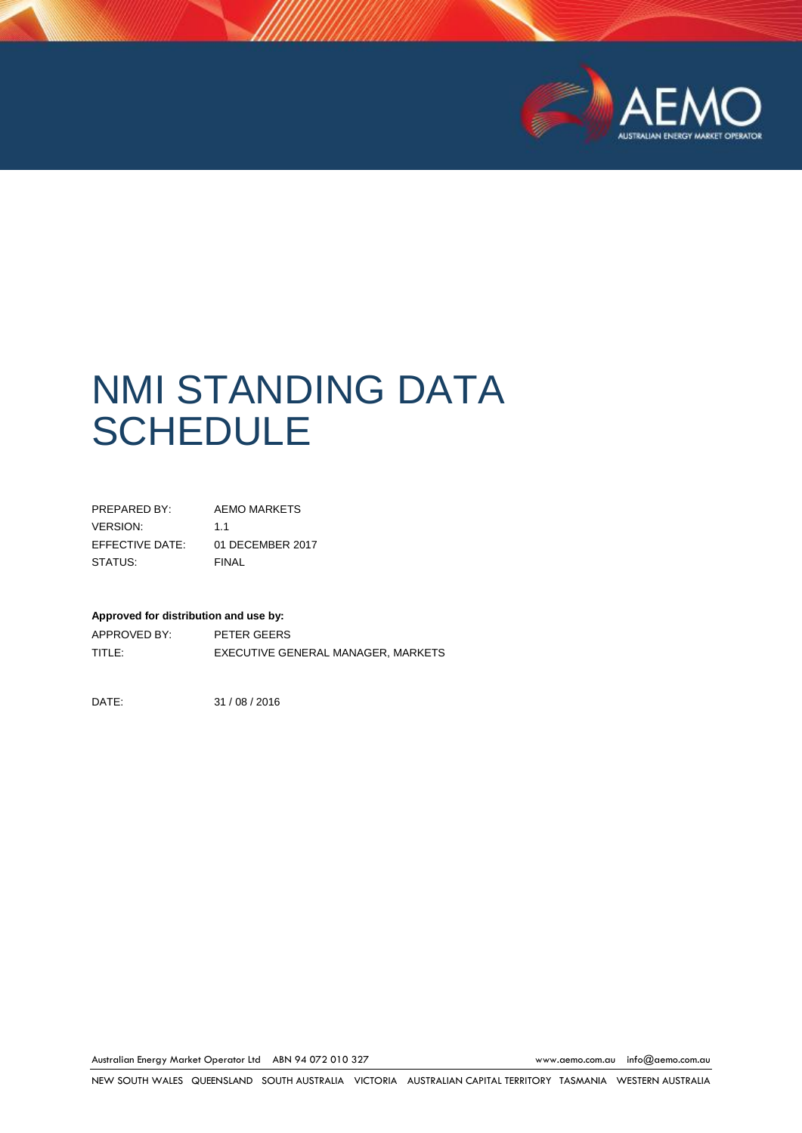

# NMI STANDING DATA **SCHEDULE**

| PRFPARFD BY:    | AEMO MARKETS     |
|-----------------|------------------|
| VERSION:        | 11               |
| EFFECTIVE DATE: | 01 DECEMBER 2017 |
| STATUS:         | <b>FINAL</b>     |

#### **Approved for distribution and use by:**

APPROVED BY: PETER GEERS TITLE: EXECUTIVE GENERAL MANAGER, MARKETS

DATE: 31 / 08 / 2016

Australian Energy Market Operator Ltd ABN 94 072 010 327 [www.aemo.com.au](http://www.aemo.com.au/) [info@aemo.com.au](mailto:info@aemo.com.au)

NEW SOUTH WALES QUEENSLAND SOUTH AUSTRALIA VICTORIA AUSTRALIAN CAPITAL TERRITORY TASMANIA WESTERN AUSTRALIA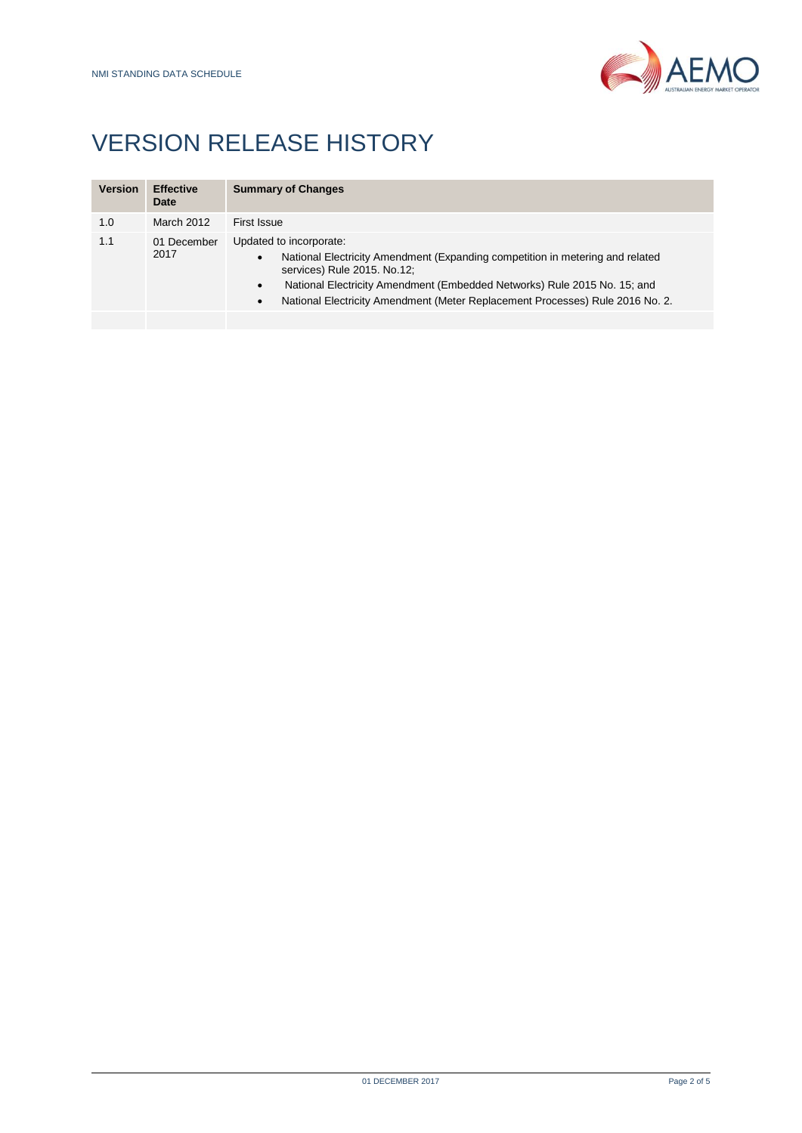

## VERSION RELEASE HISTORY

| <b>Version</b> | <b>Effective</b><br>Date | <b>Summary of Changes</b>                                                                                                                                                                                                                                                                                                           |
|----------------|--------------------------|-------------------------------------------------------------------------------------------------------------------------------------------------------------------------------------------------------------------------------------------------------------------------------------------------------------------------------------|
| 1.0            | March 2012               | First Issue                                                                                                                                                                                                                                                                                                                         |
| 1.1            | 01 December<br>2017      | Updated to incorporate:<br>National Electricity Amendment (Expanding competition in metering and related<br>٠<br>services) Rule 2015. No.12;<br>National Electricity Amendment (Embedded Networks) Rule 2015 No. 15; and<br>$\bullet$<br>National Electricity Amendment (Meter Replacement Processes) Rule 2016 No. 2.<br>$\bullet$ |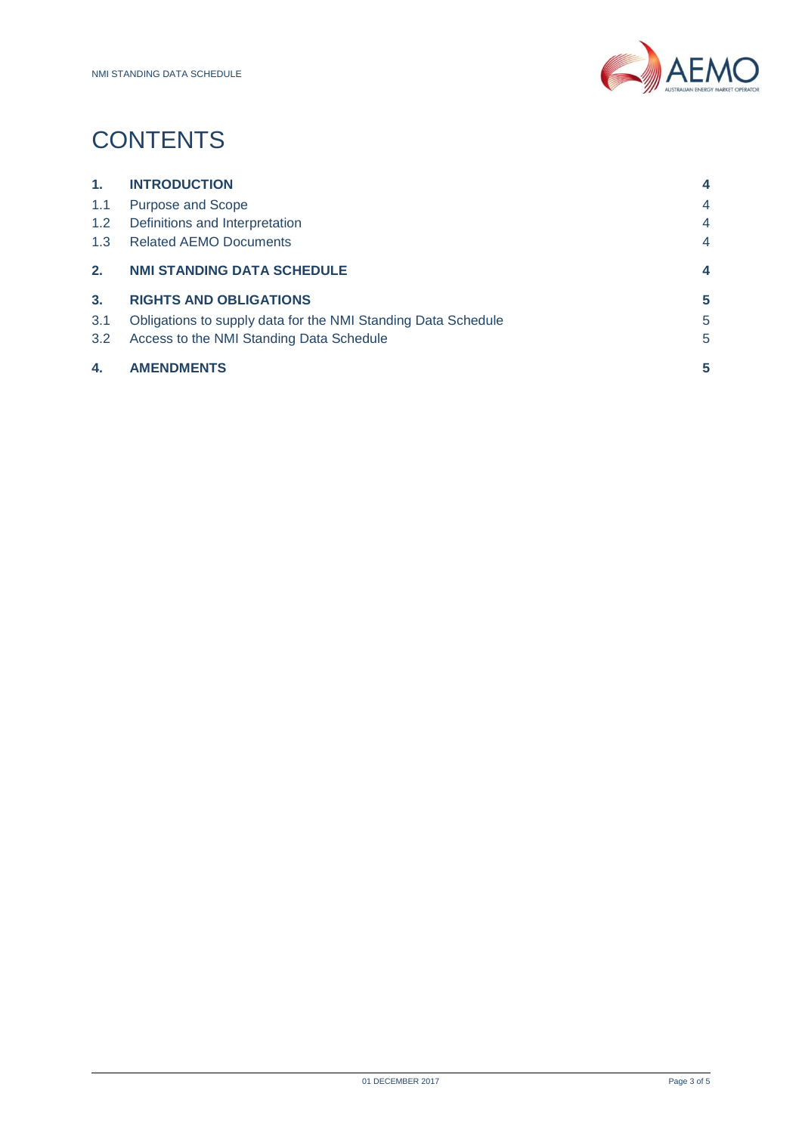

## **CONTENTS**

| 1.             | <b>INTRODUCTION</b>                                           | 4              |
|----------------|---------------------------------------------------------------|----------------|
| 1.1            | <b>Purpose and Scope</b>                                      | 4              |
| 1.2            | Definitions and Interpretation                                | 4              |
| 1.3            | <b>Related AEMO Documents</b>                                 | 4              |
| 2 <sub>1</sub> | <b>NMI STANDING DATA SCHEDULE</b>                             | $\overline{4}$ |
| 3 <sub>1</sub> | <b>RIGHTS AND OBLIGATIONS</b>                                 | 5              |
| 3.1            | Obligations to supply data for the NMI Standing Data Schedule | 5              |
| 3.2            | Access to the NMI Standing Data Schedule                      | 5              |
| 4.             | <b>AMENDMENTS</b>                                             | 5              |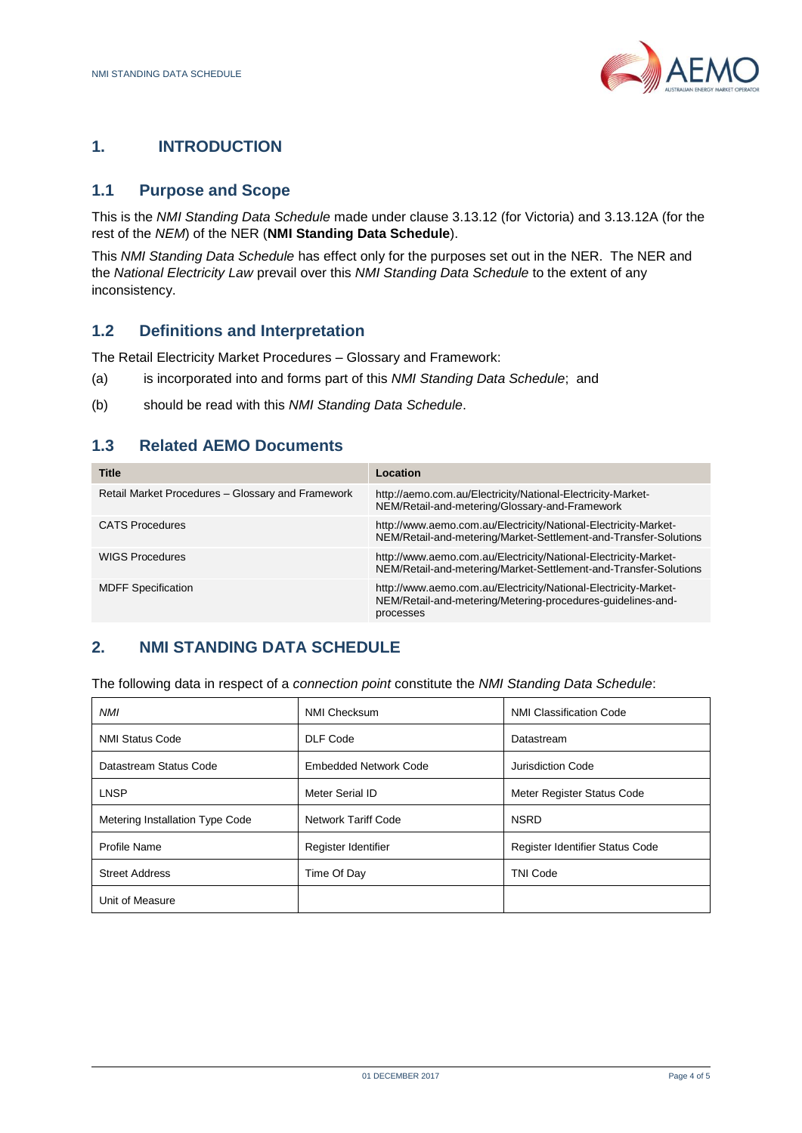

### <span id="page-3-0"></span>**1. INTRODUCTION**

#### <span id="page-3-1"></span>**1.1 Purpose and Scope**

This is the *NMI Standing Data Schedule* made under clause 3.13.12 (for Victoria) and 3.13.12A (for the rest of the *NEM*) of the NER (**NMI Standing Data Schedule**).

This *NMI Standing Data Schedule* has effect only for the purposes set out in the NER. The NER and the *National Electricity Law* prevail over this *NMI Standing Data Schedule* to the extent of any inconsistency.

#### <span id="page-3-2"></span>**1.2 Definitions and Interpretation**

The Retail Electricity Market Procedures – Glossary and Framework:

- (a) is incorporated into and forms part of this *NMI Standing Data Schedule*; and
- (b) should be read with this *NMI Standing Data Schedule*.

#### <span id="page-3-3"></span>**1.3 Related AEMO Documents**

| <b>Title</b>                                      | Location                                                                                                                                    |
|---------------------------------------------------|---------------------------------------------------------------------------------------------------------------------------------------------|
| Retail Market Procedures - Glossary and Framework | http://aemo.com.au/Electricity/National-Electricity-Market-<br>NEM/Retail-and-metering/Glossary-and-Framework                               |
| <b>CATS Procedures</b>                            | http://www.aemo.com.au/Electricity/National-Electricity-Market-<br>NEM/Retail-and-metering/Market-Settlement-and-Transfer-Solutions         |
| <b>WIGS Procedures</b>                            | http://www.aemo.com.au/Electricity/National-Electricity-Market-<br>NEM/Retail-and-metering/Market-Settlement-and-Transfer-Solutions         |
| <b>MDFF Specification</b>                         | http://www.aemo.com.au/Electricity/National-Electricity-Market-<br>NEM/Retail-and-metering/Metering-procedures-quidelines-and-<br>processes |

#### <span id="page-3-4"></span>**2. NMI STANDING DATA SCHEDULE**

The following data in respect of a *connection point* constitute the *NMI Standing Data Schedule*:

| <b>NMI</b>                      | NMI Checksum          | <b>NMI Classification Code</b>  |
|---------------------------------|-----------------------|---------------------------------|
| <b>NMI Status Code</b>          | DLF Code              | Datastream                      |
| Datastream Status Code          | Embedded Network Code | Jurisdiction Code               |
| <b>LNSP</b>                     | Meter Serial ID       | Meter Register Status Code      |
| Metering Installation Type Code | Network Tariff Code   | <b>NSRD</b>                     |
| Profile Name                    | Register Identifier   | Register Identifier Status Code |
| <b>Street Address</b>           | Time Of Day           | <b>TNI Code</b>                 |
| Unit of Measure                 |                       |                                 |